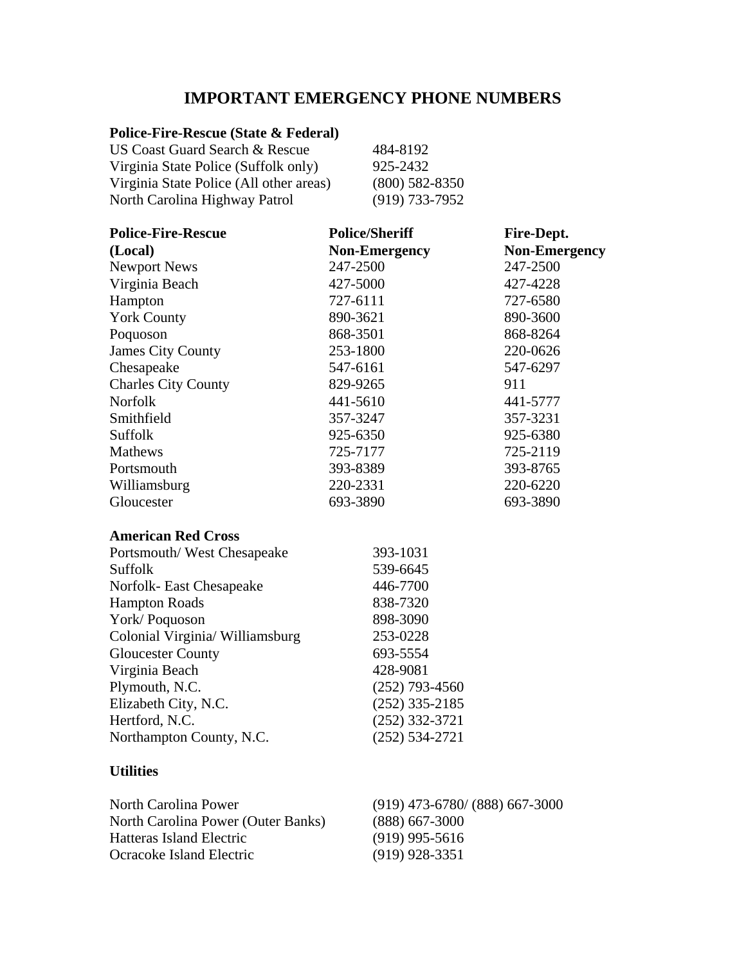## **IMPORTANT EMERGENCY PHONE NUMBERS**

## **Police-Fire-Rescue (State & Federal)**

| US Coast Guard Search & Rescue          | 484-8192         |
|-----------------------------------------|------------------|
| Virginia State Police (Suffolk only)    | 925-2432         |
| Virginia State Police (All other areas) | $(800)$ 582-8350 |
| North Carolina Highway Patrol           | $(919)$ 733-7952 |

| <b>Police-Fire-Rescue</b>  | <b>Police/Sheriff</b> | Fire-Dept.           |
|----------------------------|-----------------------|----------------------|
| (Local)                    | <b>Non-Emergency</b>  | <b>Non-Emergency</b> |
| <b>Newport News</b>        | 247-2500              | 247-2500             |
| Virginia Beach             | 427-5000              | 427-4228             |
| Hampton                    | 727-6111              | 727-6580             |
| <b>York County</b>         | 890-3621              | 890-3600             |
| Poquoson                   | 868-3501              | 868-8264             |
| <b>James City County</b>   | 253-1800              | 220-0626             |
| Chesapeake                 | 547-6161              | 547-6297             |
| <b>Charles City County</b> | 829-9265              | 911                  |
| <b>Norfolk</b>             | 441-5610              | 441-5777             |
| Smithfield                 | 357-3247              | 357-3231             |
| Suffolk                    | 925-6350              | 925-6380             |
| Mathews                    | 725-7177              | 725-2119             |
| Portsmouth                 | 393-8389              | 393-8765             |
| Williamsburg               | 220-2331              | 220-6220             |
| Gloucester                 | 693-3890              | 693-3890             |
| <b>American Red Cross</b>  |                       |                      |
| Portsmouth/West Chesapeake | 393-1031              |                      |

| Suffolk                         | 539-6645           |
|---------------------------------|--------------------|
| Norfolk- East Chesapeake        | 446-7700           |
| <b>Hampton Roads</b>            | 838-7320           |
| York/Poquoson                   | 898-3090           |
| Colonial Virginia/ Williamsburg | 253-0228           |
| <b>Gloucester County</b>        | 693-5554           |
| Virginia Beach                  | 428-9081           |
| Plymouth, N.C.                  | $(252)$ 793-4560   |
| Elizabeth City, N.C.            | $(252)$ 335-2185   |
| Hertford, N.C.                  | $(252)$ 332-3721   |
| Northampton County, N.C.        | $(252) 534 - 2721$ |

## **Utilities**

| North Carolina Power               | $(919)$ 473-6780/ (888) 667-3000 |
|------------------------------------|----------------------------------|
| North Carolina Power (Outer Banks) | $(888)$ 667-3000                 |
| Hatteras Island Electric           | $(919)$ 995-5616                 |
| Ocracoke Island Electric           | $(919)$ 928-3351                 |